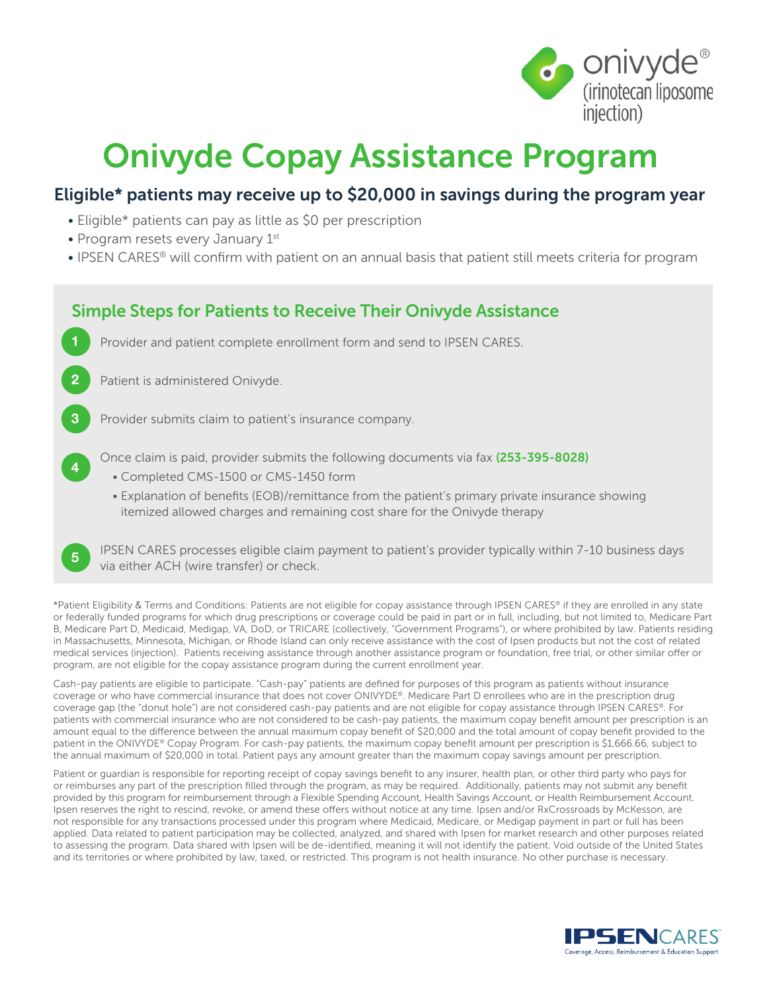

## Onivyde Copay Assistance Program

#### Eligible\* patients may receive up to \$20,000 in savings during the program year

- Eligible\* patients can pay as little as \$0 per prescription
- Program resets every January 1<sup>st</sup>

5

• IPSEN CARES® will confirm with patient on an annual basis that patient still meets criteria for program



IPSEN CARES processes eligible claim payment to patient's provider typically within 7-10 business days via either ACH (wire transfer) or check.

\*Patient Eligibility & Terms and Conditions: Patients are not eligible for copay assistance through IPSEN CARES® if they are enrolled in any state or federally funded programs for which drug prescriptions or coverage could be paid in part or in full, including, but not limited to, Medicare Part B, Medicare Part D, Medicaid, Medigap, VA, DoD, or TRICARE (collectively, "Government Programs"), or where prohibited by law. Patients residing in Massachusetts, Minnesota, Michigan, or Rhode Island can only receive assistance with the cost of Ipsen products but not the cost of related medical services (injection). Patients receiving assistance through another assistance program or foundation, free trial, or other similar offer or program, are not eligible for the copay assistance program during the current enrollment year.

Cash-pay patients are eligible to participate. "Cash-pay" patients are defined for purposes of this program as patients without insurance coverage or who have commercial insurance that does not cover ONIVYDE®. Medicare Part D enrollees who are in the prescription drug coverage gap (the "donut hole") are not considered cash-pay patients and are not eligible for copay assistance through IPSEN CARES®. For patients with commercial insurance who are not considered to be cash-pay patients, the maximum copay benefit amount per prescription is an amount equal to the difference between the annual maximum copay benefit of \$20,000 and the total amount of copay benefit provided to the patient in the ONIVYDE® Copay Program. For cash-pay patients, the maximum copay benefit amount per prescription is \$1,666.66, subject to the annual maximum of \$20,000 in total. Patient pays any amount greater than the maximum copay savings amount per prescription.

Patient or guardian is responsible for reporting receipt of copay savings benefit to any insurer, health plan, or other third party who pays for or reimburses any part of the prescription filled through the program, as may be required. Additionally, patients may not submit any benefit provided by this program for reimbursement through a Flexible Spending Account, Health Savings Account, or Health Reimbursement Account. Ipsen reserves the right to rescind, revoke, or amend these offers without notice at any time. Ipsen and/or RxCrossroads by McKesson, are not responsible for any transactions processed under this program where Medicaid, Medicare, or Medigap payment in part or full has been applied. Data related to patient participation may be collected, analyzed, and shared with Ipsen for market research and other purposes related to assessing the program. Data shared with Ipsen will be de-identified, meaning it will not identify the patient. Void outside of the United States and its territories or where prohibited by law, taxed, or restricted. This program is not health insurance. No other purchase is necessary.